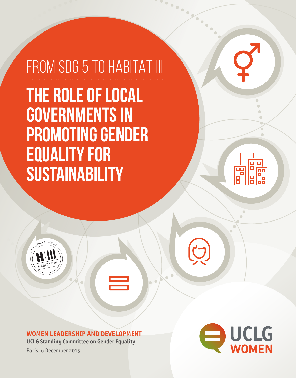# FROM SDG 5 TO HABITAT III **THE ROLE OF LOCAL GOVERNMENTS IN PROMOTING GENDER EQUALITY FOR SUSTAINABILITY**





**WOMEN LEADERSHIP AND DEVELOPMENT**

 $\equiv$ 

 $\bullet$ 

**UCLG Standing Committee on Gender Equality** Paris, 6 December 2015

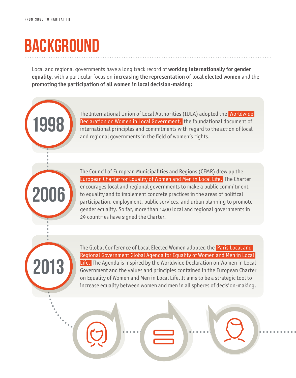**1998**

**2013**

**2006**

# **BACKGROUND**

Local and regional governments have a long track record of **working internationally for gender equality**, with a particular focus on **increasing the representation of local elected women** and the **promoting the participation of all women in local decision-making:**

> The International Union of Local Authorities (IULA) adopted the Worldwide Declaration on Women in Local Government, the foundational document of international principles and commitments with regard to the action of local and regional governments in the field of women's rights.

> The Council of European Municipalities and Regions (CEMR) drew up the European Charter for Equality of Women and Men in Local Life. The Charter encourages local and regional governments to make a public commitment to equality and to implement concrete practices in the areas of political participation, employment, public services, and urban planning to promote gender equality. So far, more than 1400 local and regional governments in 29 countries have signed the Charter.

The Global Conference of Local Elected Women adopted the Paris Local and Regional Government Global Agenda for Equality of Women and Men in Local Life. The Agenda is inspired by the Worldwide Declaration on Women in Local Government and the values and principles contained in the European Charter on Equality of Women and Men in Local Life. It aims to be a strategic tool to increase equality between women and men in all spheres of decision-making.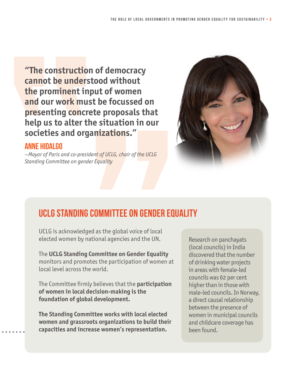**"The construction of democracy cannot be understood without the prominent input of women and our work must be focussed on presenting concrete proposals that help us to alter the situation in our societies and organizations."**

### **ANNE HIDALGO**

*—Mayor of Paris and co-president of UCLG, chair of the UCLG Standing Committee on gender Equality*



### **UCLG STANDING COMMITTEE ON GENDER EQUALITY**

UCLG is acknowledged as the global voice of local elected women by national agencies and the UN.

The **UCLG Standing Committee on Gender Equality** monitors and promotes the participation of women at local level across the world.

The Committee firmly believes that the **participation of women in local decision-making is the foundation of global development.**

**The Standing Committee works with local elected women and grassroots organizations to build their capacities and increase women's representation.**

Research on panchayats (local councils) in India discovered that the number of drinking water projects in areas with female-led councils was 62 per cent higher than in those with male-led councils. In Norway, a direct causal relationship between the presence of women in municipal councils and childcare coverage has been found.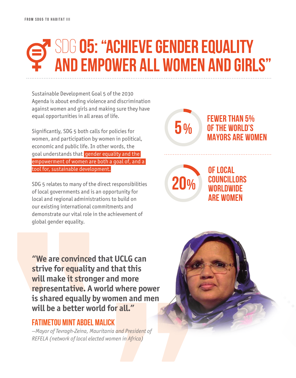## SDG **05: "Achieve gender equality and empower all women and girls"**

**5%**

**20%**

**FEWER THAN 5% OF THE WORLD'S MAYORS ARE WOMEN** 

**OF LOCAL COUNCILLORS WORLDWIDE ARE WOMEN**

Sustainable Development Goal 5 of the 2030 Agenda is about ending violence and discrimination against women and girls and making sure they have equal opportunities in all areas of life.

Significantly, SDG 5 both calls for policies for women, and participation by women in political, economic and public life. In other words, the goal understands that gender equality and the empowerment of women are both a goal of, and a tool for, sustainable development.

SDG 5 relates to many of the direct responsibilities of local governments and is an opportunity for local and regional administrations to build on our existing international commitments and demonstrate our vital role in the achievement of global gender equality.

**"We are convinced that UCLG can strive for equality and that this will make it stronger and more representative. A world where power is shared equally by women and men will be a better world for all."**

### **FATIMETOU MINT ABDEL MALICK**

*—Mayor of Tevragh-Zeina, Mauritania and President of REFELA (network of local elected women in Africa)*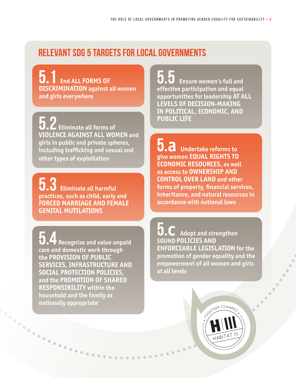### **RELEVANT SDG 5 TARGETS FOR LOCAL GOVERNMENTS**

**5.1 End ALL FORMS OF DISCRIMINATION against all women and girls everywhere**

**5.2 Eliminate all forms of VIOLENCE AGAINST ALL WOMEN and girls in public and private spheres, including trafficking and sexual and other types of exploitation**

**5.3 Eliminate all harmful practices, such as child, early and FORCED MARRIAGE AND FEMALE GENITAL MUTILATIONS**

**5.4 Recognize and value unpaid care and domestic work through the PROVISION OF PUBLIC SERVICES, INFRASTRUCTURE AND SOCIAL PROTECTION POLICIES, and the PROMOTION OF SHARED RESPONSIBILITY within the household and the family as nationally appropriate** 

**5.5 Ensure women's full and effective participation and equal opportunities for leadership AT ALL LEVELS OF DECISION-MAKING IN POLITICAL, ECONOMIC, AND PUBLIC LIFE**

**5.a Undertake reforms to give women EQUAL RIGHTS TO ECONOMIC RESOURCES, as well as access to OWNERSHIP AND CONTROL OVER LAND and other forms of property, financial services, inheritance, and natural resources in accordance with national laws**

........

**5.c Adopt and strengthen SOUND POLICIES AND ENFORCEABLE LEGISLATION for the promotion of gender equality and the empowerment of all women and girls at all levels**

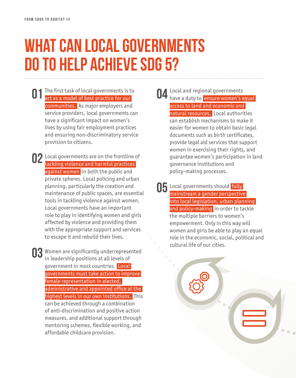## **What can local governments do to help achieve SDG 5?**

- **01** The first task of local governments is to act as a model of best practice for our act as a model of best practice for our communities. As major employers and service providers, local governments can have a significant impact on women's lives by using fair employment practices and ensuring non-discriminatory service provision to citizens.
- **02** Local governments are on the frontline of the frackling violence and harmful practices tackling violence and harmful practices against women in both the public and private spheres. Local policing and urban planning, particularly the creation and maintenance of public spaces, are essential tools in tackling violence against women. Local governments have an important role to play in identifying women and girls affected by violence and providing them with the appropriate support and services to escape it and rebuild their lives.

**03** Women are significantly underrepresented<br>in leadership positions at all levels of in leadership positions at all levels of government in most countries. Local governments must take action to improve female representation in elected, administrative and appointed office at the highest levels in our own institutions. This can be achieved through a combination of anti-discrimination and positive action measures, and additional support through mentoring schemes, flexible working, and affordable childcare provision.

- **04** Local and regional governments<br>have a duty to ensure women's e have a duty to ensure women's equal access to land and economic and natural resources. Local authorities can establish mechanisms to make it easier for women to obtain basic legal documents such as birth certificates, provide legal aid services that support women in exercising their rights, and guarantee women's participation in land governance institutions and policy-making processes.
- **05** Local governments should **fully**<br>mainstream a gender perspective mainstream a gender perspective into local legislation, urban planning and policy-making in order to tackle the multiple barriers to women's empowerment. Only in this way will women and girls be able to play an equal role in the economic, social, political and cultural life of our cities.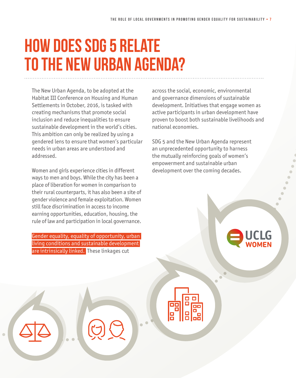# **How does SDG 5 relate to the New Urban Agenda?**

The New Urban Agenda, to be adopted at the Habitat III Conference on Housing and Human Settlements in October, 2016, is tasked with creating mechanisms that promote social inclusion and reduce inequalities to ensure sustainable development in the world's cities. This ambition can only be realized by using a gendered lens to ensure that women's particular needs in urban areas are understood and addressed.

Women and girls experience cities in different ways to men and boys. While the city has been a place of liberation for women in comparison to their rural counterparts, it has also been a site of gender violence and female exploitation. Women still face discrimination in access to income earning opportunities, education, housing, the rule of law and participation in local governance.

Gender equality, equality of opportunity, urban living conditions and sustainable development are intrinsically linked. These linkages cut

across the social, economic, environmental and governance dimensions of sustainable development. Initiatives that engage women as active participants in urban development have proven to boost both sustainable livelihoods and national economies.

SDG 5 and the New Urban Agenda represent an unprecedented opportunity to harness the mutually reinforcing goals of women's empowerment and sustainable urban development over the coming decades.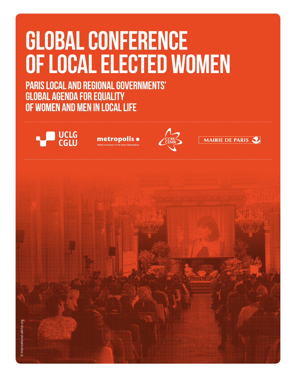# **GLOBAL CONFERENCE OF LOCAL ELECTED WOMEN**

**PARIS LOCAL AND REGIONAL GOVERNMENTS' GLOBAL AGENDA FOR EQUALITY OF WOMEN AND MEN IN LOCAL LIFE**









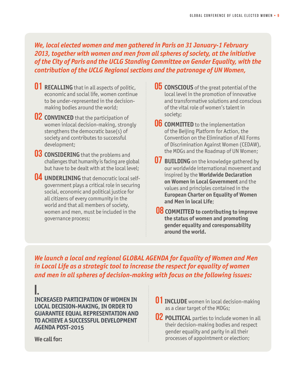#### *We, local elected women and men gathered in Paris on 31 January-1 February 2013, together with women and men from all spheres of society, at the initiative of the City of Paris and the UCLG Standing Committee on Gender Equality, with the contribution of the UCLG Regional sections and the patronage of UN Women,*

- **01 RECALLING** that in all aspects of politic, economic and social life, women continue to be under-represented in the decisionmaking bodies around the world;
- **02 CONVINCED** that the participation of women inlocal decision-making, strongly stengthens the democratic base(s) of society and contributes to successful development;
- **03 CONSIDERING** that the problems and challenges that humanity is facing are global but have to be dealt with at the local level;
- **04 UNDERLINING** that democratic local selfgovernment plays a critical role in securing social, economic and political justice for all citizens of every community in the world and that all members of society, women and men, must be included in the governance process;
- **05 CONSCIOUS** of the great potential of the local level in the promotion of innovative and transformative solutions and conscious of the vital role of women's talent in society;
- **06 COMMITTED** to the implementation of the Beijing Platform for Action, the Convention on the Elimination of All Forms of Discrimination Against Women (CEDAW), the MDGs and the Roadmap of UN Women;
- **O7 BUILDING** on the knowledge gathered by our worldwide international movement and inspired by the **Worldwide Declaration on Women in Local Government** and the values and principles contained in the **European Charter on Equality of Women and Men in local Life**;
- **O8 COMMITTED to contributing to improve the status of women and promoting gender equality and coresponsability around the world.**

*We launch a local and regional GLOBAL AGENDA for Equality of Women and Men in Local Life as a strategic tool to increase the respect for equality of women and men in all spheres of decision-making with focus on the following issues:*

**I. INCREASED PARTICIPATION OF WOMEN IN LOCAL DECISION-MAKING, IN ORDER TO GUARANTEE EQUAL REPRESENTATION AND TO ACHIEVE A SUCCESSFUL DEVELOPMENT AGENDA POST-2015**

- **01 INCLUDE** women in local decision-making as a clear target of the MDGs;
- **02 POLITICAL** parties to include women in all their decision-making bodies and respect gender equality and parity in all their processes of appointment or election;

**We call for:**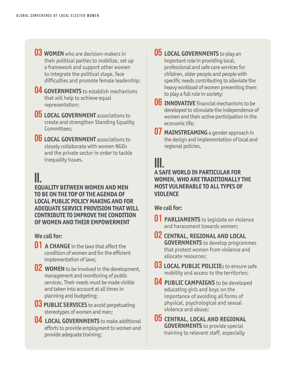- **03 WOMEN** who are decision-makers in their political parties to mobilize, set up a framework and support other women to integrate the political stage, face difficulties and promote female leadership;
- **04 GOVERNMENTS** to establish mechanisms that will help to achieve equal representation;
- **05 LOCAL GOVERNMENT** associations to create and strengthen Standing Equality Committees;
- **06 LOCAL GOVERNMENT** associations to closely collaborate with women NGOs and the private sector in order to tackle inequality issues.

#### **II. EQUALITY BETWEEN WOMEN AND MEN TO BE ON THE TOP OF THE AGENDA OF LOCAL PUBLIC POLICY MAKING AND FOR ADEQUATE SERVICE PROVISION THAT WILL CONTRIBUTE TO IMPROVE THE CONDITION OF WOMEN AND THEIR EMPOWERMENT**

#### **We call for:**

- **01 A CHANGE** in the laws that affect the condition of women and for the efficient implementation of laws;
- **02 WOMEN** to be involved in the development, management and monitoring of public services. Their needs must be made visible and taken into account at all times in planning and budgeting;
- **03 PUBLIC SERVICES** to avoid perpetuating stereotypes of women and men;
- **04 LOCAL GOVERNMENTS** to make additional efforts to provide employment to women and provide adequate training;
- **05 LOCAL GOVERNMENTS** to play an important role in providing local, professional and safe care services for children, older people and people with specific needs contributing to alleviate the heavy workload of women preventing them to play a full role in society;
- **06 INNOVATIVE** financial mechanisms to be developed to stimulate the independence of women and their active participation in the economic life;
- **07 MAINSTREAMING** a gender approach in the design and implementation of local and regional policies.

### **III.**

#### **A SAFE WORLD IN PARTICULAR FOR WOMEN, WHO ARE TRADITIONALLY THE MOST VULNERABLE TO ALL TYPES OF VIOLENCE**

**We call for:**

- **01 PARLIAMENTS** to legislate on violence and harassment towards women;
- **02 CENTRAL, REGIONAL AND LOCAL GOVERNMENTS** to develop programmes that protect women from violence and allocate resources;
- **03 LOCAL PUBLIC POLICIEs to ensure safe** mobility and access to the territories;
- **04 PUBLIC CAMPAIGNS** to be developed educating girls and boys on the importance of avoiding all forms of physical, psychological and sexual violence and abuse;
- **05 CENTRAL, LOCAL AND REGIONAL GOVERNMENTS** to provide special training to relevant staff, especially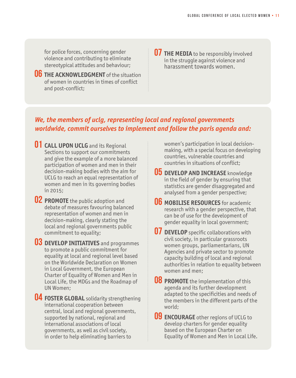for police forces, concerning gender violence and contributing to eliminate stereotypical attitudes and behaviour;

**06 THE ACKNOWLEDGMENT** of the situation of women in countries in times of conflict and post-conflict;

**07 THE MEDIA** to be responsibly involved in the struggle against violence and harassment towards women.

#### *We, the members of uclg, representing local and regional governments worldwide, commit ourselves to implement and follow the paris agenda and:*

- **01 CALL UPON UCLG** and its Regional Sections to support our commitments and give the example of a more balanced participation of women and men in their decision-making bodies with the aim for UCLG to reach an equal representation of women and men in its governing bodies in 2015;
- **02 PROMOTE** the public adoption and debate of measures favouring balanced representation of women and men in decision-making, clearly stating the local and regional governments public commitment to equality;
- **03 DEVELOP INITIATIVES** and programmes to promote a public commitment for equality at local and regional level based on the Worldwide Declaration on Women in Local Government, the European Charter of Equality of Women and Men in Local Life, the MDGs and the Roadmap of UN Women;
- **04 FOSTER GLOBAL** solidarity strengthening international cooperation between central, local and regional governments, supported by national, regional and international associations of local governments, as well as civil society, in order to help eliminating barriers to

women's participation in local decisionmaking, with a special focus on developing countries, vulnerable countries and countries in situations of conflict;

- **05 DEVELOP AND INCREASE** knowledge in the field of gender by ensuring that statistics are gender disaggregated and analysed from a gender perspective;
- **06 MOBILISE RESOURCES** for academic research with a gender perspective, that can be of use for the development of gender equality in local government;
- **07 DEVELOP** specific collaborations with civil society, in particular grassroots women groups, parliamentarians, UN Agencies and private sector to promote capacity building of local and regional authorities in relation to equality between women and men;
- **08 PROMOTE** the implementation of this agenda and its further development adapted to the specificities and needs of the members in the different parts of the world;
- **09 ENCOURAGE** other regions of UCLG to develop charters for gender equality based on the European Charter on Equality of Women and Men in Local Life.